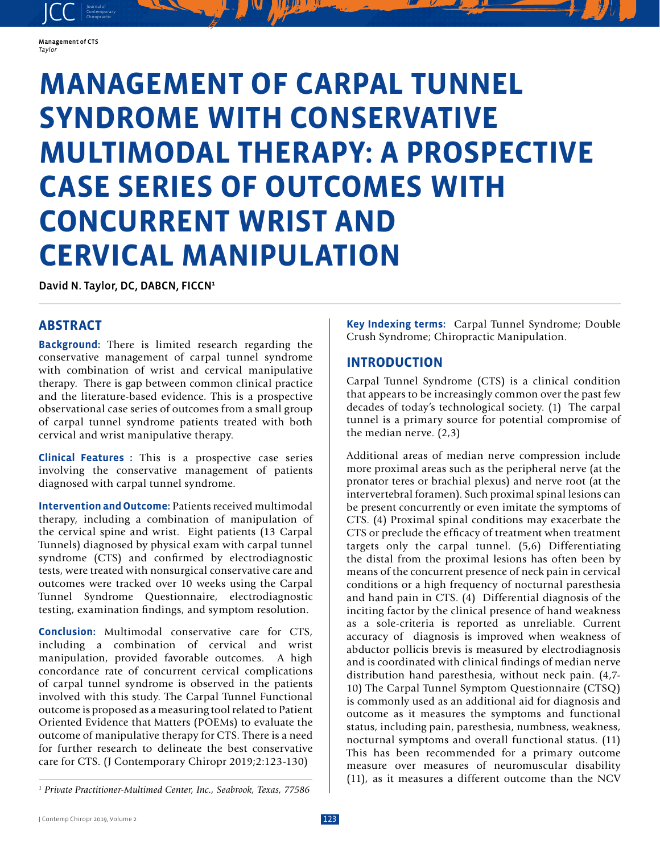

JCC contemporary Contemporary

# **MANAGEMENT OF CARPAL TUNNEL SYNDROME WITH CONSERVATIVE MULTIMODAL THERAPY: A PROSPECTIVE CASE SERIES OF OUTCOMES WITH CONCURRENT WRIST AND CERVICAL MANIPULATION**

David N. Taylor, DC, DABCN, FICCN<sup>1</sup>

## **ABSTRACT**

**Background:** There is limited research regarding the conservative management of carpal tunnel syndrome with combination of wrist and cervical manipulative therapy. There is gap between common clinical practice and the literature-based evidence. This is a prospective observational case series of outcomes from a small group of carpal tunnel syndrome patients treated with both cervical and wrist manipulative therapy.

**Clinical Features :** This is a prospective case series involving the conservative management of patients diagnosed with carpal tunnel syndrome.

**Intervention and Outcome:** Patients received multimodal therapy, including a combination of manipulation of the cervical spine and wrist. Eight patients (13 Carpal Tunnels) diagnosed by physical exam with carpal tunnel syndrome (CTS) and confirmed by electrodiagnostic tests, were treated with nonsurgical conservative care and outcomes were tracked over 10 weeks using the Carpal Tunnel Syndrome Questionnaire, electrodiagnostic testing, examination findings, and symptom resolution.

**Conclusion:** Multimodal conservative care for CTS, including a combination of cervical and wrist manipulation, provided favorable outcomes. A high concordance rate of concurrent cervical complications of carpal tunnel syndrome is observed in the patients involved with this study. The Carpal Tunnel Functional outcome is proposed as a measuring tool related to Patient Oriented Evidence that Matters (POEMs) to evaluate the outcome of manipulative therapy for CTS. There is a need for further research to delineate the best conservative care for CTS. (J Contemporary Chiropr 2019;2:123-130)

**Key Indexing terms:** Carpal Tunnel Syndrome; Double Crush Syndrome; Chiropractic Manipulation.

## **INTRODUCTION**

Carpal Tunnel Syndrome (CTS) is a clinical condition that appears to be increasingly common over the past few decades of today's technological society. (1) The carpal tunnel is a primary source for potential compromise of the median nerve. (2,3)

Additional areas of median nerve compression include more proximal areas such as the peripheral nerve (at the pronator teres or brachial plexus) and nerve root (at the intervertebral foramen). Such proximal spinal lesions can be present concurrently or even imitate the symptoms of CTS. (4) Proximal spinal conditions may exacerbate the CTS or preclude the efficacy of treatment when treatment targets only the carpal tunnel. (5,6) Differentiating the distal from the proximal lesions has often been by means of the concurrent presence of neck pain in cervical conditions or a high frequency of nocturnal paresthesia and hand pain in CTS. (4) Differential diagnosis of the inciting factor by the clinical presence of hand weakness as a sole-criteria is reported as unreliable. Current accuracy of diagnosis is improved when weakness of abductor pollicis brevis is measured by electrodiagnosis and is coordinated with clinical findings of median nerve distribution hand paresthesia, without neck pain. (4,7- 10) The Carpal Tunnel Symptom Questionnaire (CTSQ) is commonly used as an additional aid for diagnosis and outcome as it measures the symptoms and functional status, including pain, paresthesia, numbness, weakness, nocturnal symptoms and overall functional status. (11) This has been recommended for a primary outcome measure over measures of neuromuscular disability (11), as it measures a different outcome than the NCV

<sup>&</sup>lt;sup>1</sup> Private Practitioner-Multimed Center, Inc., Seabrook, Texas, 77586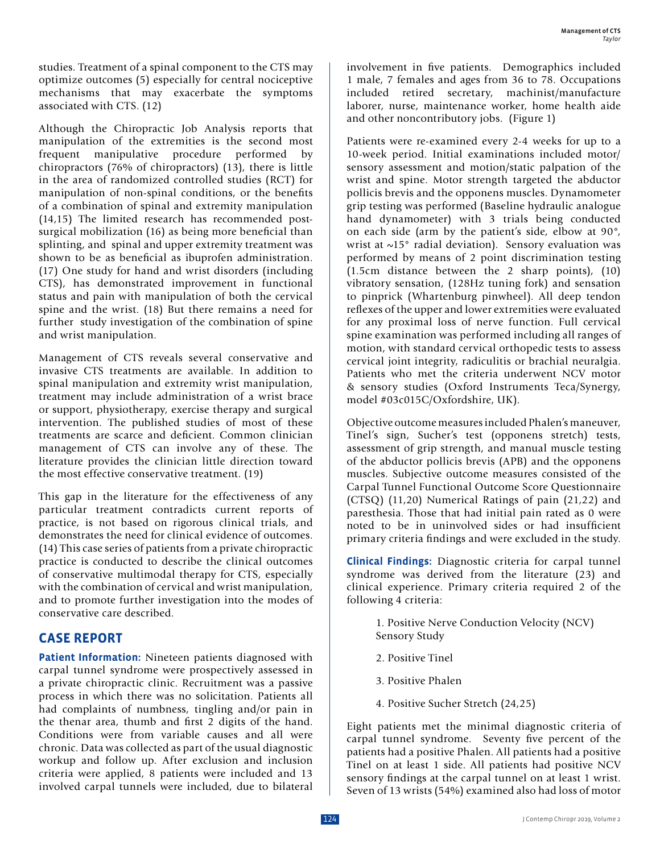studies. Treatment of a spinal component to the CTS may optimize outcomes (5) especially for central nociceptive mechanisms that may exacerbate the symptoms associated with CTS. (12)

Although the Chiropractic Job Analysis reports that manipulation of the extremities is the second most frequent manipulative procedure performed by chiropractors (76% of chiropractors) (13), there is little in the area of randomized controlled studies (RCT) for manipulation of non-spinal conditions, or the benefits of a combination of spinal and extremity manipulation (14,15) The limited research has recommended postsurgical mobilization (16) as being more beneficial than splinting, and spinal and upper extremity treatment was shown to be as beneficial as ibuprofen administration. (17) One study for hand and wrist disorders (including CTS), has demonstrated improvement in functional status and pain with manipulation of both the cervical spine and the wrist. (18) But there remains a need for further study investigation of the combination of spine and wrist manipulation.

Management of CTS reveals several conservative and invasive CTS treatments are available. In addition to spinal manipulation and extremity wrist manipulation, treatment may include administration of a wrist brace or support, physiotherapy, exercise therapy and surgical intervention. The published studies of most of these treatments are scarce and deficient. Common clinician management of CTS can involve any of these. The literature provides the clinician little direction toward the most effective conservative treatment. (19)

This gap in the literature for the effectiveness of any particular treatment contradicts current reports of practice, is not based on rigorous clinical trials, and demonstrates the need for clinical evidence of outcomes. (14) This case series of patients from a private chiropractic practice is conducted to describe the clinical outcomes of conservative multimodal therapy for CTS, especially with the combination of cervical and wrist manipulation, and to promote further investigation into the modes of conservative care described.

# **CASE REPORT**

**Patient Information:** Nineteen patients diagnosed with carpal tunnel syndrome were prospectively assessed in a private chiropractic clinic. Recruitment was a passive process in which there was no solicitation. Patients all had complaints of numbness, tingling and/or pain in the thenar area, thumb and first 2 digits of the hand. Conditions were from variable causes and all were chronic. Data was collected as part of the usual diagnostic workup and follow up. After exclusion and inclusion criteria were applied, 8 patients were included and 13 involved carpal tunnels were included, due to bilateral involvement in five patients. Demographics included 1 male, 7 females and ages from 36 to 78. Occupations included retired secretary, machinist/manufacture laborer, nurse, maintenance worker, home health aide and other noncontributory jobs. (Figure 1)

Patients were re-examined every 2-4 weeks for up to a 10-week period. Initial examinations included motor/ sensory assessment and motion/static palpation of the wrist and spine. Motor strength targeted the abductor pollicis brevis and the opponens muscles. Dynamometer grip testing was performed (Baseline hydraulic analogue hand dynamometer) with 3 trials being conducted on each side (arm by the patient's side, elbow at 90°, wrist at ~15° radial deviation). Sensory evaluation was performed by means of 2 point discrimination testing (1.5cm distance between the 2 sharp points), (10) vibratory sensation, (128Hz tuning fork) and sensation to pinprick (Whartenburg pinwheel). All deep tendon reflexes of the upper and lower extremities were evaluated for any proximal loss of nerve function. Full cervical spine examination was performed including all ranges of motion, with standard cervical orthopedic tests to assess cervical joint integrity, radiculitis or brachial neuralgia. Patients who met the criteria underwent NCV motor & sensory studies (Oxford Instruments Teca/Synergy, model #03c015C/Oxfordshire, UK).

Objective outcome measures included Phalen's maneuver, Tinel's sign, Sucher's test (opponens stretch) tests, assessment of grip strength, and manual muscle testing of the abductor pollicis brevis (APB) and the opponens muscles. Subjective outcome measures consisted of the Carpal Tunnel Functional Outcome Score Questionnaire (CTSQ) (11,20) Numerical Ratings of pain (21,22) and paresthesia. Those that had initial pain rated as 0 were noted to be in uninvolved sides or had insufficient primary criteria findings and were excluded in the study.

**Clinical Findings:** Diagnostic criteria for carpal tunnel syndrome was derived from the literature (23) and clinical experience. Primary criteria required 2 of the following 4 criteria:

- 1. Positive Nerve Conduction Velocity (NCV) Sensory Study
- 2. Positive Tinel
- 3. Positive Phalen
- 4. Positive Sucher Stretch (24,25)

Eight patients met the minimal diagnostic criteria of carpal tunnel syndrome. Seventy five percent of the patients had a positive Phalen. All patients had a positive Tinel on at least 1 side. All patients had positive NCV sensory findings at the carpal tunnel on at least 1 wrist. Seven of 13 wrists (54%) examined also had loss of motor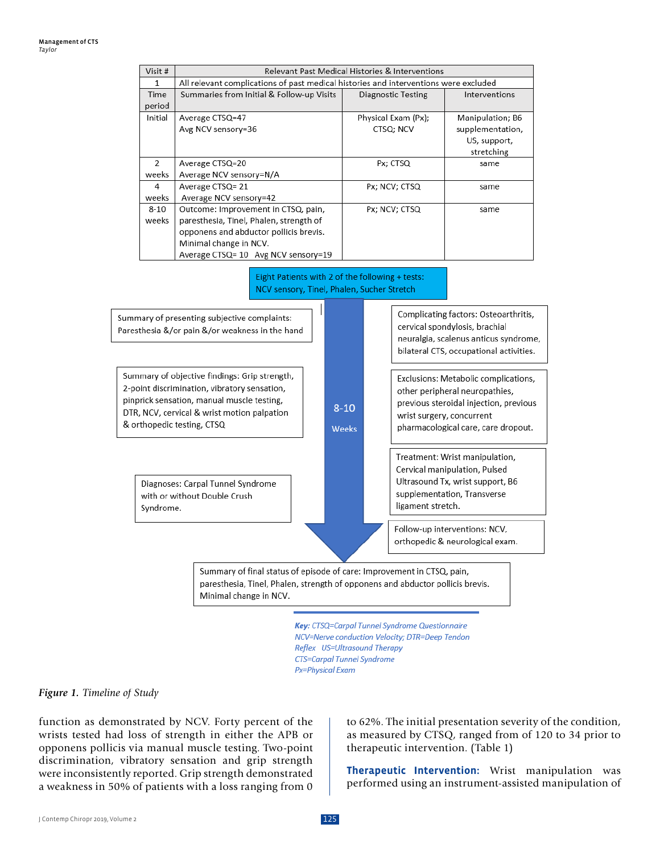| Visit #        | Relevant Past Medical Histories & Interventions                                      |                     |                  |  |  |  |
|----------------|--------------------------------------------------------------------------------------|---------------------|------------------|--|--|--|
| 1              | All relevant complications of past medical histories and interventions were excluded |                     |                  |  |  |  |
| Time           | Summaries from Initial & Follow-up Visits                                            | Diagnostic Testing  | Interventions    |  |  |  |
| period         |                                                                                      |                     |                  |  |  |  |
| Initial        | Average CTSQ=47                                                                      | Physical Exam (Px); | Manipulation; B6 |  |  |  |
|                | Avg NCV sensory=36                                                                   | CTSQ: NCV           | supplementation, |  |  |  |
|                |                                                                                      |                     | US, support,     |  |  |  |
|                |                                                                                      |                     | stretching       |  |  |  |
| $\overline{2}$ | Average CTSQ=20                                                                      | Px; CTSQ            | same             |  |  |  |
| weeks          | Average NCV sensory=N/A                                                              |                     |                  |  |  |  |
| 4              | Average CTSQ= 21                                                                     | Px; NCV; CTSQ       | same             |  |  |  |
| weeks          | Average NCV sensory=42                                                               |                     |                  |  |  |  |
| $8 - 10$       | Outcome: Improvement in CTSQ, pain,                                                  | Px; NCV; CTSQ       | same             |  |  |  |
| weeks          | paresthesia, Tinel, Phalen, strength of                                              |                     |                  |  |  |  |
|                | opponens and abductor pollicis brevis.                                               |                     |                  |  |  |  |
|                | Minimal change in NCV.                                                               |                     |                  |  |  |  |
|                | Average CTSQ= 10 Avg NCV sensory=19                                                  |                     |                  |  |  |  |





Key: CTSQ=Carpal Tunnel Syndrome Questionnaire NCV=Nerve conduction Velocity; DTR=Deep Tendon Reflex US=Ultrasound Therapy **CTS=Carpal Tunnel Syndrome** Px=Physical Exam

#### *Figure 1. Timeline of Study*

function as demonstrated by NCV. Forty percent of the wrists tested had loss of strength in either the APB or opponens pollicis via manual muscle testing. Two-point discrimination, vibratory sensation and grip strength were inconsistently reported. Grip strength demonstrated a weakness in 50% of patients with a loss ranging from 0 to 62%. The initial presentation severity of the condition, as measured by CTSQ, ranged from of 120 to 34 prior to therapeutic intervention. (Table 1)

**Therapeutic Intervention:** Wrist manipulation was performed using an instrument-assisted manipulation of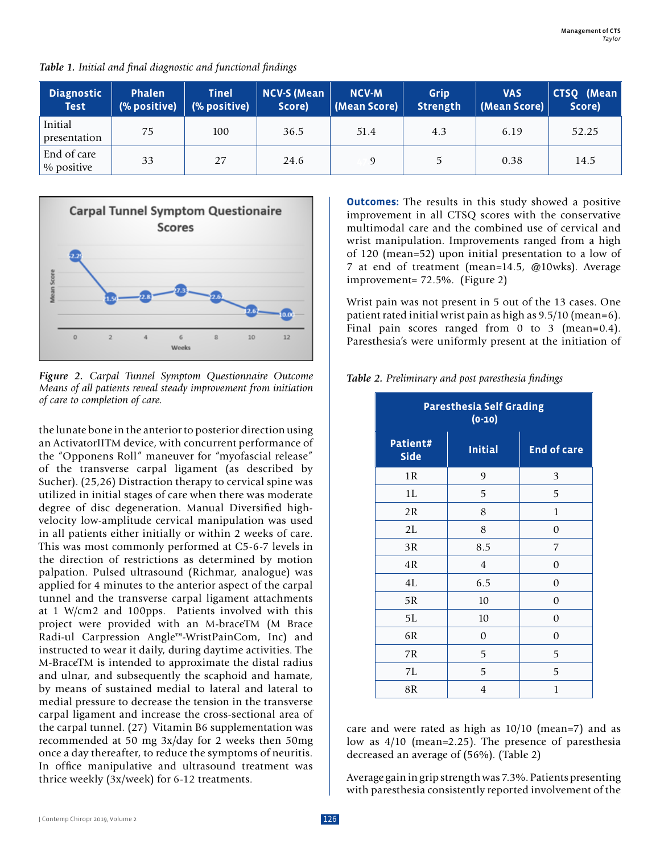*Table 1. Initial and final diagnostic and functional findings*

| <b>Diagnostic</b><br><b>Test</b> | <b>Phalen</b><br>(% positive) | <b>Tinel</b><br>(% positive) | <b>NCV-S (Mean</b><br>Score) | <b>NCV-M</b><br>(Mean Score) | Grip<br><b>Strength</b> | <b>VAS</b><br>(Mean Score) | CTSQ (Mean<br>Score) |
|----------------------------------|-------------------------------|------------------------------|------------------------------|------------------------------|-------------------------|----------------------------|----------------------|
| Initial<br>presentation          | 75                            | 100                          | 36.5                         | 51.4                         | 4.3                     | 6.19                       | 52.25                |
| End of care<br>% positive        | 33                            | 27                           | 24.6                         |                              | 5                       | 0.38                       | 14.5                 |



*Figure 2. Carpal Tunnel Symptom Questionnaire Outcome Means of all patients reveal steady improvement from initiation of care to completion of care.*

the lunate bone in the anterior to posterior direction using an ActivatorIITM device, with concurrent performance of the "Opponens Roll" maneuver for "myofascial release" of the transverse carpal ligament (as described by Sucher). (25,26) Distraction therapy to cervical spine was utilized in initial stages of care when there was moderate degree of disc degeneration. Manual Diversified highvelocity low-amplitude cervical manipulation was used in all patients either initially or within 2 weeks of care. This was most commonly performed at C5-6-7 levels in the direction of restrictions as determined by motion palpation. Pulsed ultrasound (Richmar, analogue) was applied for 4 minutes to the anterior aspect of the carpal tunnel and the transverse carpal ligament attachments at 1 W/cm2 and 100pps. Patients involved with this project were provided with an M-braceTM (M Brace Radi-ul Carpression Angle™-WristPainCom, Inc) and instructed to wear it daily, during daytime activities. The M-BraceTM is intended to approximate the distal radius and ulnar, and subsequently the scaphoid and hamate, by means of sustained medial to lateral and lateral to medial pressure to decrease the tension in the transverse carpal ligament and increase the cross-sectional area of the carpal tunnel. (27) Vitamin B6 supplementation was recommended at 50 mg 3x/day for 2 weeks then 50mg once a day thereafter, to reduce the symptoms of neuritis. In office manipulative and ultrasound treatment was thrice weekly (3x/week) for 6-12 treatments.

**Outcomes:** The results in this study showed a positive improvement in all CTSQ scores with the conservative multimodal care and the combined use of cervical and wrist manipulation. Improvements ranged from a high of 120 (mean=52) upon initial presentation to a low of 7 at end of treatment (mean=14.5, @10wks). Average improvement= 72.5%. (Figure 2)

Wrist pain was not present in 5 out of the 13 cases. One patient rated initial wrist pain as high as 9.5/10 (mean=6). Final pain scores ranged from 0 to 3 (mean=0.4). Paresthesia's were uniformly present at the initiation of

*Table 2. Preliminary and post paresthesia findings*

| <b>Paresthesia Self Grading</b><br>$(0-10)$ |                |                    |  |  |  |  |
|---------------------------------------------|----------------|--------------------|--|--|--|--|
| Patient#<br><b>Side</b>                     | <b>Initial</b> | <b>End of care</b> |  |  |  |  |
| 1R                                          | 9              | 3                  |  |  |  |  |
| 1L                                          | 5              | 5                  |  |  |  |  |
| 2R                                          | 8              | $\mathbf{1}$       |  |  |  |  |
| 2L                                          | 8              | 0                  |  |  |  |  |
| 3R                                          | 8.5            | 7                  |  |  |  |  |
| 4R                                          | $\overline{4}$ | 0                  |  |  |  |  |
| 4L                                          | 6.5            | $\mathbf{0}$       |  |  |  |  |
| 5R                                          | 10             | $\mathbf{0}$       |  |  |  |  |
| 5L                                          | 10             | $\mathbf{0}$       |  |  |  |  |
| 6R                                          | 0              | $\mathbf{0}$       |  |  |  |  |
| 7R                                          | 5              | 5                  |  |  |  |  |
| 7L                                          | 5              | 5                  |  |  |  |  |
| 8R                                          | $\overline{4}$ | $\mathbf{1}$       |  |  |  |  |

care and were rated as high as 10/10 (mean=7) and as low as 4/10 (mean=2.25). The presence of paresthesia decreased an average of (56%). (Table 2)

Average gain in grip strength was 7.3%. Patients presenting with paresthesia consistently reported involvement of the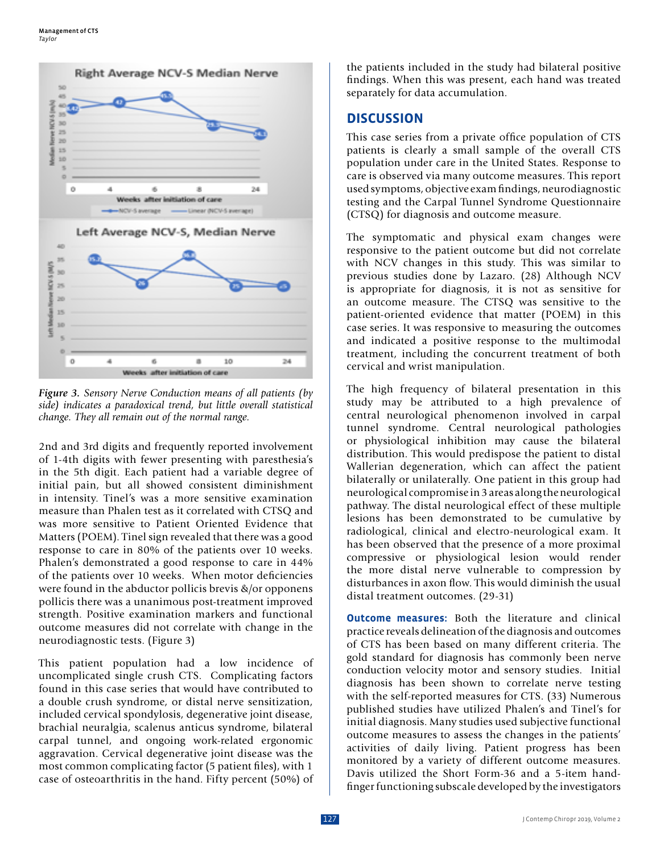

*Figure 3. Sensory Nerve Conduction means of all patients (by side) indicates a paradoxical trend, but little overall statistical change. They all remain out of the normal range.*

2nd and 3rd digits and frequently reported involvement of 1-4th digits with fewer presenting with paresthesia's in the 5th digit. Each patient had a variable degree of initial pain, but all showed consistent diminishment in intensity. Tinel's was a more sensitive examination measure than Phalen test as it correlated with CTSQ and was more sensitive to Patient Oriented Evidence that Matters (POEM). Tinel sign revealed that there was a good response to care in 80% of the patients over 10 weeks. Phalen's demonstrated a good response to care in 44% of the patients over 10 weeks. When motor deficiencies were found in the abductor pollicis brevis &/or opponens pollicis there was a unanimous post-treatment improved strength. Positive examination markers and functional outcome measures did not correlate with change in the neurodiagnostic tests. (Figure 3)

This patient population had a low incidence of uncomplicated single crush CTS. Complicating factors found in this case series that would have contributed to a double crush syndrome, or distal nerve sensitization, included cervical spondylosis, degenerative joint disease, brachial neuralgia, scalenus anticus syndrome, bilateral carpal tunnel, and ongoing work-related ergonomic aggravation. Cervical degenerative joint disease was the most common complicating factor (5 patient files), with 1 case of osteoarthritis in the hand. Fifty percent (50%) of the patients included in the study had bilateral positive findings. When this was present, each hand was treated separately for data accumulation.

## **DISCUSSION**

This case series from a private office population of CTS patients is clearly a small sample of the overall CTS population under care in the United States. Response to care is observed via many outcome measures. This report used symptoms, objective exam findings, neurodiagnostic testing and the Carpal Tunnel Syndrome Questionnaire (CTSQ) for diagnosis and outcome measure.

The symptomatic and physical exam changes were responsive to the patient outcome but did not correlate with NCV changes in this study. This was similar to previous studies done by Lazaro. (28) Although NCV is appropriate for diagnosis, it is not as sensitive for an outcome measure. The CTSQ was sensitive to the patient-oriented evidence that matter (POEM) in this case series. It was responsive to measuring the outcomes and indicated a positive response to the multimodal treatment, including the concurrent treatment of both cervical and wrist manipulation.

The high frequency of bilateral presentation in this study may be attributed to a high prevalence of central neurological phenomenon involved in carpal tunnel syndrome. Central neurological pathologies or physiological inhibition may cause the bilateral distribution. This would predispose the patient to distal Wallerian degeneration, which can affect the patient bilaterally or unilaterally. One patient in this group had neurological compromise in 3 areas along the neurological pathway. The distal neurological effect of these multiple lesions has been demonstrated to be cumulative by radiological, clinical and electro-neurological exam. It has been observed that the presence of a more proximal compressive or physiological lesion would render the more distal nerve vulnerable to compression by disturbances in axon flow. This would diminish the usual distal treatment outcomes. (29-31)

**Outcome measures:** Both the literature and clinical practice reveals delineation of the diagnosis and outcomes of CTS has been based on many different criteria. The gold standard for diagnosis has commonly been nerve conduction velocity motor and sensory studies. Initial diagnosis has been shown to correlate nerve testing with the self-reported measures for CTS. (33) Numerous published studies have utilized Phalen's and Tinel's for initial diagnosis. Many studies used subjective functional outcome measures to assess the changes in the patients' activities of daily living. Patient progress has been monitored by a variety of different outcome measures. Davis utilized the Short Form-36 and a 5-item handfinger functioning subscale developed by the investigators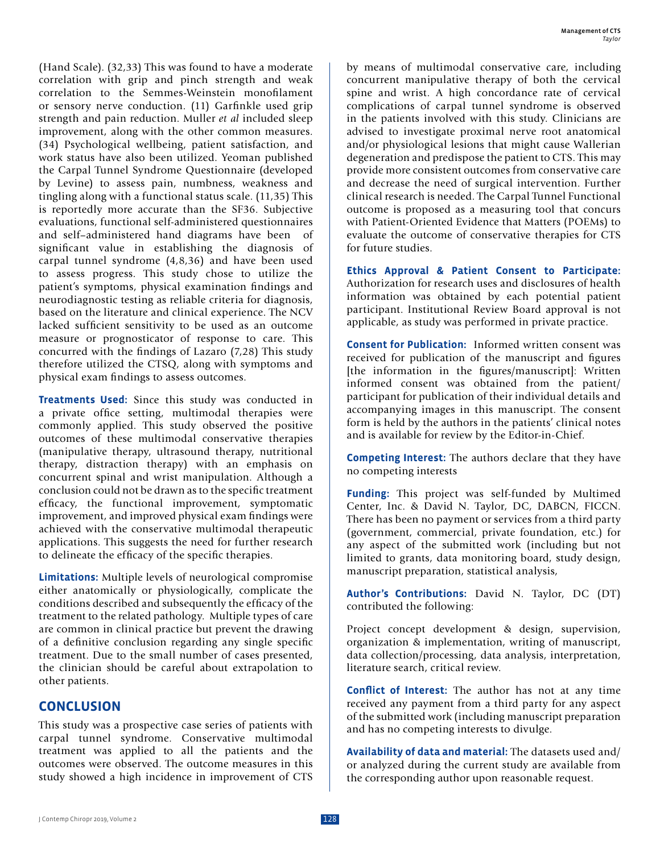(Hand Scale). (32,33) This was found to have a moderate correlation with grip and pinch strength and weak correlation to the Semmes-Weinstein monofilament or sensory nerve conduction. (11) Garfinkle used grip strength and pain reduction. Muller *et al* included sleep improvement, along with the other common measures. (34) Psychological wellbeing, patient satisfaction, and work status have also been utilized. Yeoman published the Carpal Tunnel Syndrome Questionnaire (developed by Levine) to assess pain, numbness, weakness and tingling along with a functional status scale. (11,35) This is reportedly more accurate than the SF36. Subjective evaluations, functional self-administered questionnaires and self–administered hand diagrams have been of significant value in establishing the diagnosis of carpal tunnel syndrome (4,8,36) and have been used to assess progress. This study chose to utilize the patient's symptoms, physical examination findings and neurodiagnostic testing as reliable criteria for diagnosis, based on the literature and clinical experience. The NCV lacked sufficient sensitivity to be used as an outcome measure or prognosticator of response to care. This concurred with the findings of Lazaro (7,28) This study therefore utilized the CTSQ, along with symptoms and physical exam findings to assess outcomes.

**Treatments Used:** Since this study was conducted in a private office setting, multimodal therapies were commonly applied. This study observed the positive outcomes of these multimodal conservative therapies (manipulative therapy, ultrasound therapy, nutritional therapy, distraction therapy) with an emphasis on concurrent spinal and wrist manipulation. Although a conclusion could not be drawn as to the specific treatment efficacy, the functional improvement, symptomatic improvement, and improved physical exam findings were achieved with the conservative multimodal therapeutic applications. This suggests the need for further research to delineate the efficacy of the specific therapies.

**Limitations:** Multiple levels of neurological compromise either anatomically or physiologically, complicate the conditions described and subsequently the efficacy of the treatment to the related pathology. Multiple types of care are common in clinical practice but prevent the drawing of a definitive conclusion regarding any single specific treatment. Due to the small number of cases presented, the clinician should be careful about extrapolation to other patients.

## **CONCLUSION**

This study was a prospective case series of patients with carpal tunnel syndrome. Conservative multimodal treatment was applied to all the patients and the outcomes were observed. The outcome measures in this study showed a high incidence in improvement of CTS

by means of multimodal conservative care, including concurrent manipulative therapy of both the cervical spine and wrist. A high concordance rate of cervical complications of carpal tunnel syndrome is observed in the patients involved with this study. Clinicians are advised to investigate proximal nerve root anatomical and/or physiological lesions that might cause Wallerian degeneration and predispose the patient to CTS. This may provide more consistent outcomes from conservative care and decrease the need of surgical intervention. Further clinical research is needed. The Carpal Tunnel Functional outcome is proposed as a measuring tool that concurs with Patient-Oriented Evidence that Matters (POEMs) to evaluate the outcome of conservative therapies for CTS for future studies.

**Ethics Approval & Patient Consent to Participate:**  Authorization for research uses and disclosures of health information was obtained by each potential patient participant. Institutional Review Board approval is not applicable, as study was performed in private practice.

**Consent for Publication:** Informed written consent was received for publication of the manuscript and figures [the information in the figures/manuscript]: Written informed consent was obtained from the patient/ participant for publication of their individual details and accompanying images in this manuscript. The consent form is held by the authors in the patients' clinical notes and is available for review by the Editor-in-Chief.

**Competing Interest:** The authors declare that they have no competing interests

**Funding:** This project was self-funded by Multimed Center, Inc. & David N. Taylor, DC, DABCN, FICCN. There has been no payment or services from a third party (government, commercial, private foundation, etc.) for any aspect of the submitted work (including but not limited to grants, data monitoring board, study design, manuscript preparation, statistical analysis,

**Author's Contributions:** David N. Taylor, DC (DT) contributed the following:

Project concept development & design, supervision, organization & implementation, writing of manuscript, data collection/processing, data analysis, interpretation, literature search, critical review.

**Conflict of Interest:** The author has not at any time received any payment from a third party for any aspect of the submitted work (including manuscript preparation and has no competing interests to divulge.

**Availability of data and material:** The datasets used and/ or analyzed during the current study are available from the corresponding author upon reasonable request.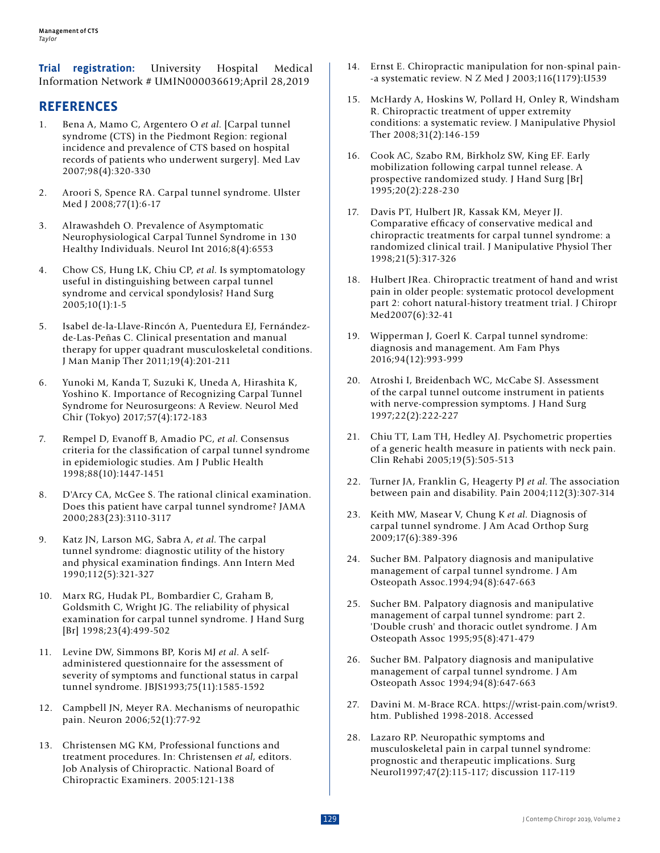**Trial registration:** University Hospital Medical Information Network # UMIN000036619;April 28,2019

# **REFERENCES**

- 1. Bena A, Mamo C, Argentero O *et al*. [Carpal tunnel syndrome (CTS) in the Piedmont Region: regional incidence and prevalence of CTS based on hospital records of patients who underwent surgery]. Med Lav 2007;98(4):320-330
- 2. Aroori S, Spence RA. Carpal tunnel syndrome. Ulster Med J 2008;77(1):6-17
- 3. Alrawashdeh O. Prevalence of Asymptomatic Neurophysiological Carpal Tunnel Syndrome in 130 Healthy Individuals. Neurol Int 2016;8(4):6553
- 4. Chow CS, Hung LK, Chiu CP, *et al*. Is symptomatology useful in distinguishing between carpal tunnel syndrome and cervical spondylosis? Hand Surg 2005;10(1):1-5
- 5. Isabel de-la-Llave-Rincón A, Puentedura EJ, Fernándezde-Las-Peñas C. Clinical presentation and manual therapy for upper quadrant musculoskeletal conditions. J Man Manip Ther 2011;19(4):201-211
- 6. Yunoki M, Kanda T, Suzuki K, Uneda A, Hirashita K, Yoshino K. Importance of Recognizing Carpal Tunnel Syndrome for Neurosurgeons: A Review. Neurol Med Chir (Tokyo) 2017;57(4):172-183
- 7. Rempel D, Evanoff B, Amadio PC, *et al*. Consensus criteria for the classification of carpal tunnel syndrome in epidemiologic studies. Am J Public Health 1998;88(10):1447-1451
- 8. D'Arcy CA, McGee S. The rational clinical examination. Does this patient have carpal tunnel syndrome? JAMA 2000;283(23):3110-3117
- 9. Katz JN, Larson MG, Sabra A, *et al*. The carpal tunnel syndrome: diagnostic utility of the history and physical examination findings. Ann Intern Med 1990;112(5):321-327
- 10. Marx RG, Hudak PL, Bombardier C, Graham B, Goldsmith C, Wright JG. The reliability of physical examination for carpal tunnel syndrome. J Hand Surg [Br] 1998;23(4):499-502
- 11. Levine DW, Simmons BP, Koris MJ *et al*. A selfadministered questionnaire for the assessment of severity of symptoms and functional status in carpal tunnel syndrome. JBJS1993;75(11):1585-1592
- 12. Campbell JN, Meyer RA. Mechanisms of neuropathic pain. Neuron 2006;52(1):77-92
- 13. Christensen MG KM, Professional functions and treatment procedures. In: Christensen *et al*, editors. Job Analysis of Chiropractic. National Board of Chiropractic Examiners. 2005:121-138
- 14. Ernst E. Chiropractic manipulation for non-spinal pain- -a systematic review. N Z Med J 2003;116(1179):U539
- 15. McHardy A, Hoskins W, Pollard H, Onley R, Windsham R. Chiropractic treatment of upper extremity conditions: a systematic review. J Manipulative Physiol Ther 2008;31(2):146-159
- 16. Cook AC, Szabo RM, Birkholz SW, King EF. Early mobilization following carpal tunnel release. A prospective randomized study. J Hand Surg [Br] 1995;20(2):228-230
- 17. Davis PT, Hulbert JR, Kassak KM, Meyer JJ. Comparative efficacy of conservative medical and chiropractic treatments for carpal tunnel syndrome: a randomized clinical trail. J Manipulative Physiol Ther 1998;21(5):317-326
- 18. Hulbert JRea. Chiropractic treatment of hand and wrist pain in older people: systematic protocol development part 2: cohort natural-history treatment trial. J Chiropr Med2007(6):32-41
- 19. Wipperman J, Goerl K. Carpal tunnel syndrome: diagnosis and management. Am Fam Phys 2016;94(12):993-999
- 20. Atroshi I, Breidenbach WC, McCabe SJ. Assessment of the carpal tunnel outcome instrument in patients with nerve-compression symptoms. J Hand Surg 1997;22(2):222-227
- 21. Chiu TT, Lam TH, Hedley AJ. Psychometric properties of a generic health measure in patients with neck pain. Clin Rehabi 2005;19(5):505-513
- 22. Turner JA, Franklin G, Heagerty PJ *et al*. The association between pain and disability. Pain 2004;112(3):307-314
- 23. Keith MW, Masear V, Chung K *et al*. Diagnosis of carpal tunnel syndrome. J Am Acad Orthop Surg 2009;17(6):389-396
- 24. Sucher BM. Palpatory diagnosis and manipulative management of carpal tunnel syndrome. J Am Osteopath Assoc.1994;94(8):647-663
- 25. Sucher BM. Palpatory diagnosis and manipulative management of carpal tunnel syndrome: part 2. 'Double crush' and thoracic outlet syndrome. J Am Osteopath Assoc 1995;95(8):471-479
- 26. Sucher BM. Palpatory diagnosis and manipulative management of carpal tunnel syndrome. J Am Osteopath Assoc 1994;94(8):647-663
- 27. Davini M. M-Brace RCA. https://wrist-pain.com/wrist9. htm. Published 1998-2018. Accessed
- 28. Lazaro RP. Neuropathic symptoms and musculoskeletal pain in carpal tunnel syndrome: prognostic and therapeutic implications. Surg Neurol1997;47(2):115-117; discussion 117-119